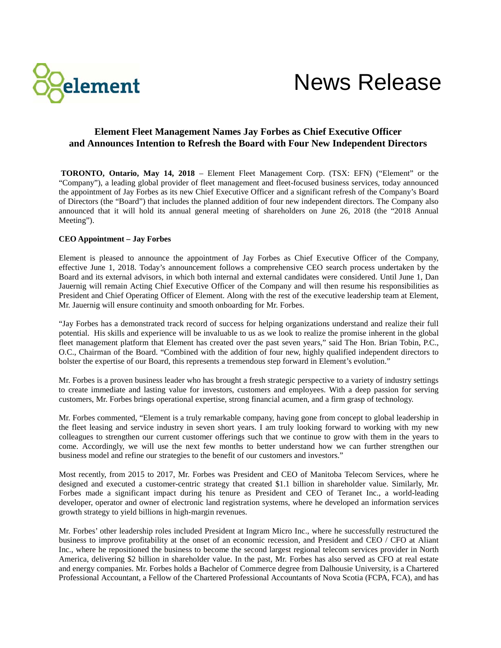

# News Release

# **Element Fleet Management Names Jay Forbes as Chief Executive Officer and Announces Intention to Refresh the Board with Four New Independent Directors**

**TORONTO, Ontario, May 14, 2018** – Element Fleet Management Corp. (TSX: EFN) ("Element" or the "Company"), a leading global provider of fleet management and fleet-focused business services, today announced the appointment of Jay Forbes as its new Chief Executive Officer and a significant refresh of the Company's Board of Directors (the "Board") that includes the planned addition of four new independent directors. The Company also announced that it will hold its annual general meeting of shareholders on June 26, 2018 (the "2018 Annual Meeting").

## **CEO Appointment – Jay Forbes**

Element is pleased to announce the appointment of Jay Forbes as Chief Executive Officer of the Company, effective June 1, 2018. Today's announcement follows a comprehensive CEO search process undertaken by the Board and its external advisors, in which both internal and external candidates were considered. Until June 1, Dan Jauernig will remain Acting Chief Executive Officer of the Company and will then resume his responsibilities as President and Chief Operating Officer of Element. Along with the rest of the executive leadership team at Element, Mr. Jauernig will ensure continuity and smooth onboarding for Mr. Forbes.

"Jay Forbes has a demonstrated track record of success for helping organizations understand and realize their full potential. His skills and experience will be invaluable to us as we look to realize the promise inherent in the global fleet management platform that Element has created over the past seven years," said The Hon. Brian Tobin, P.C., O.C., Chairman of the Board. "Combined with the addition of four new, highly qualified independent directors to bolster the expertise of our Board, this represents a tremendous step forward in Element's evolution."

Mr. Forbes is a proven business leader who has brought a fresh strategic perspective to a variety of industry settings to create immediate and lasting value for investors, customers and employees. With a deep passion for serving customers, Mr. Forbes brings operational expertise, strong financial acumen, and a firm grasp of technology.

Mr. Forbes commented, "Element is a truly remarkable company, having gone from concept to global leadership in the fleet leasing and service industry in seven short years. I am truly looking forward to working with my new colleagues to strengthen our current customer offerings such that we continue to grow with them in the years to come. Accordingly, we will use the next few months to better understand how we can further strengthen our business model and refine our strategies to the benefit of our customers and investors."

Most recently, from 2015 to 2017, Mr. Forbes was President and CEO of Manitoba Telecom Services, where he designed and executed a customer-centric strategy that created \$1.1 billion in shareholder value. Similarly, Mr. Forbes made a significant impact during his tenure as President and CEO of Teranet Inc., a world-leading developer, operator and owner of electronic land registration systems, where he developed an information services growth strategy to yield billions in high-margin revenues.

Mr. Forbes' other leadership roles included President at Ingram Micro Inc., where he successfully restructured the business to improve profitability at the onset of an economic recession, and President and CEO / CFO at Aliant Inc., where he repositioned the business to become the second largest regional telecom services provider in North America, delivering \$2 billion in shareholder value. In the past, Mr. Forbes has also served as CFO at real estate and energy companies. Mr. Forbes holds a Bachelor of Commerce degree from Dalhousie University, is a Chartered Professional Accountant, a Fellow of the Chartered Professional Accountants of Nova Scotia (FCPA, FCA), and has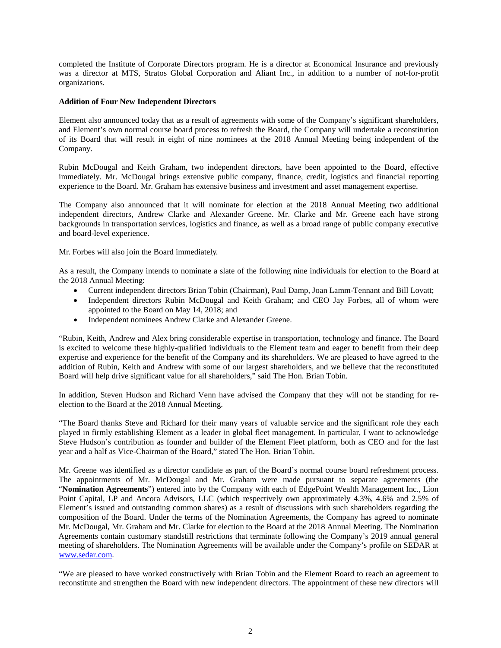completed the Institute of Corporate Directors program. He is a director at Economical Insurance and previously was a director at MTS, Stratos Global Corporation and Aliant Inc., in addition to a number of not-for-profit organizations.

#### **Addition of Four New Independent Directors**

Element also announced today that as a result of agreements with some of the Company's significant shareholders, and Element's own normal course board process to refresh the Board, the Company will undertake a reconstitution of its Board that will result in eight of nine nominees at the 2018 Annual Meeting being independent of the Company.

Rubin McDougal and Keith Graham, two independent directors, have been appointed to the Board, effective immediately. Mr. McDougal brings extensive public company, finance, credit, logistics and financial reporting experience to the Board. Mr. Graham has extensive business and investment and asset management expertise.

The Company also announced that it will nominate for election at the 2018 Annual Meeting two additional independent directors, Andrew Clarke and Alexander Greene. Mr. Clarke and Mr. Greene each have strong backgrounds in transportation services, logistics and finance, as well as a broad range of public company executive and board-level experience.

Mr. Forbes will also join the Board immediately.

As a result, the Company intends to nominate a slate of the following nine individuals for election to the Board at the 2018 Annual Meeting:

- Current independent directors Brian Tobin (Chairman), Paul Damp, Joan Lamm-Tennant and Bill Lovatt;
- Independent directors Rubin McDougal and Keith Graham; and CEO Jay Forbes, all of whom were appointed to the Board on May 14, 2018; and
- Independent nominees Andrew Clarke and Alexander Greene.

"Rubin, Keith, Andrew and Alex bring considerable expertise in transportation, technology and finance. The Board is excited to welcome these highly-qualified individuals to the Element team and eager to benefit from their deep expertise and experience for the benefit of the Company and its shareholders. We are pleased to have agreed to the addition of Rubin, Keith and Andrew with some of our largest shareholders, and we believe that the reconstituted Board will help drive significant value for all shareholders," said The Hon. Brian Tobin.

In addition, Steven Hudson and Richard Venn have advised the Company that they will not be standing for reelection to the Board at the 2018 Annual Meeting.

"The Board thanks Steve and Richard for their many years of valuable service and the significant role they each played in firmly establishing Element as a leader in global fleet management. In particular, I want to acknowledge Steve Hudson's contribution as founder and builder of the Element Fleet platform, both as CEO and for the last year and a half as Vice-Chairman of the Board," stated The Hon. Brian Tobin.

Mr. Greene was identified as a director candidate as part of the Board's normal course board refreshment process. The appointments of Mr. McDougal and Mr. Graham were made pursuant to separate agreements (the "**Nomination Agreements**") entered into by the Company with each of EdgePoint Wealth Management Inc., Lion Point Capital, LP and Ancora Advisors, LLC (which respectively own approximately 4.3%, 4.6% and 2.5% of Element's issued and outstanding common shares) as a result of discussions with such shareholders regarding the composition of the Board. Under the terms of the Nomination Agreements, the Company has agreed to nominate Mr. McDougal, Mr. Graham and Mr. Clarke for election to the Board at the 2018 Annual Meeting. The Nomination Agreements contain customary standstill restrictions that terminate following the Company's 2019 annual general meeting of shareholders. The Nomination Agreements will be available under the Company's profile on SEDAR at [www.sedar.com.](http://www.sedar.com/)

"We are pleased to have worked constructively with Brian Tobin and the Element Board to reach an agreement to reconstitute and strengthen the Board with new independent directors. The appointment of these new directors will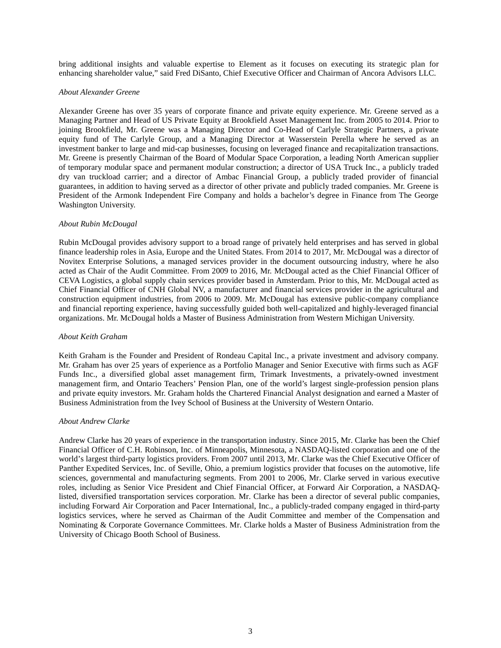bring additional insights and valuable expertise to Element as it focuses on executing its strategic plan for enhancing shareholder value," said Fred DiSanto, Chief Executive Officer and Chairman of Ancora Advisors LLC.

#### *About Alexander Greene*

Alexander Greene has over 35 years of corporate finance and private equity experience. Mr. Greene served as a Managing Partner and Head of US Private Equity at Brookfield Asset Management Inc. from 2005 to 2014. Prior to joining Brookfield, Mr. Greene was a Managing Director and Co-Head of Carlyle Strategic Partners, a private equity fund of The Carlyle Group, and a Managing Director at Wasserstein Perella where he served as an investment banker to large and mid-cap businesses, focusing on leveraged finance and recapitalization transactions. Mr. Greene is presently Chairman of the Board of Modular Space Corporation, a leading North American supplier of temporary modular space and permanent modular construction; a director of USA Truck Inc., a publicly traded dry van truckload carrier; and a director of Ambac Financial Group, a publicly traded provider of financial guarantees, in addition to having served as a director of other private and publicly traded companies. Mr. Greene is President of the Armonk Independent Fire Company and holds a bachelor's degree in Finance from The George Washington University.

### *About Rubin McDougal*

Rubin McDougal provides advisory support to a broad range of privately held enterprises and has served in global finance leadership roles in Asia, Europe and the United States. From 2014 to 2017, Mr. McDougal was a director of Novitex Enterprise Solutions, a managed services provider in the document outsourcing industry, where he also acted as Chair of the Audit Committee. From 2009 to 2016, Mr. McDougal acted as the Chief Financial Officer of CEVA Logistics, a global supply chain services provider based in Amsterdam. Prior to this, Mr. McDougal acted as Chief Financial Officer of CNH Global NV, a manufacturer and financial services provider in the agricultural and construction equipment industries, from 2006 to 2009. Mr. McDougal has extensive public-company compliance and financial reporting experience, having successfully guided both well-capitalized and highly-leveraged financial organizations. Mr. McDougal holds a Master of Business Administration from Western Michigan University.

#### *About Keith Graham*

Keith Graham is the Founder and President of Rondeau Capital Inc., a private investment and advisory company. Mr. Graham has over 25 years of experience as a Portfolio Manager and Senior Executive with firms such as AGF Funds Inc., a diversified global asset management firm, Trimark Investments, a privately-owned investment management firm, and Ontario Teachers' Pension Plan, one of the world's largest single-profession pension plans and private equity investors. Mr. Graham holds the Chartered Financial Analyst designation and earned a Master of Business Administration from the Ivey School of Business at the University of Western Ontario.

#### *About Andrew Clarke*

Andrew Clarke has 20 years of experience in the transportation industry. Since 2015, Mr. Clarke has been the Chief Financial Officer of C.H. Robinson, Inc. of Minneapolis, Minnesota, a NASDAQ-listed corporation and one of the world's largest third-party logistics providers. From 2007 until 2013, Mr. Clarke was the Chief Executive Officer of Panther Expedited Services, Inc. of Seville, Ohio, a premium logistics provider that focuses on the automotive, life sciences, governmental and manufacturing segments. From 2001 to 2006, Mr. Clarke served in various executive roles, including as Senior Vice President and Chief Financial Officer, at Forward Air Corporation, a NASDAQlisted, diversified transportation services corporation. Mr. Clarke has been a director of several public companies, including Forward Air Corporation and Pacer International, Inc., a publicly-traded company engaged in third-party logistics services, where he served as Chairman of the Audit Committee and member of the Compensation and Nominating & Corporate Governance Committees. Mr. Clarke holds a Master of Business Administration from the University of Chicago Booth School of Business.